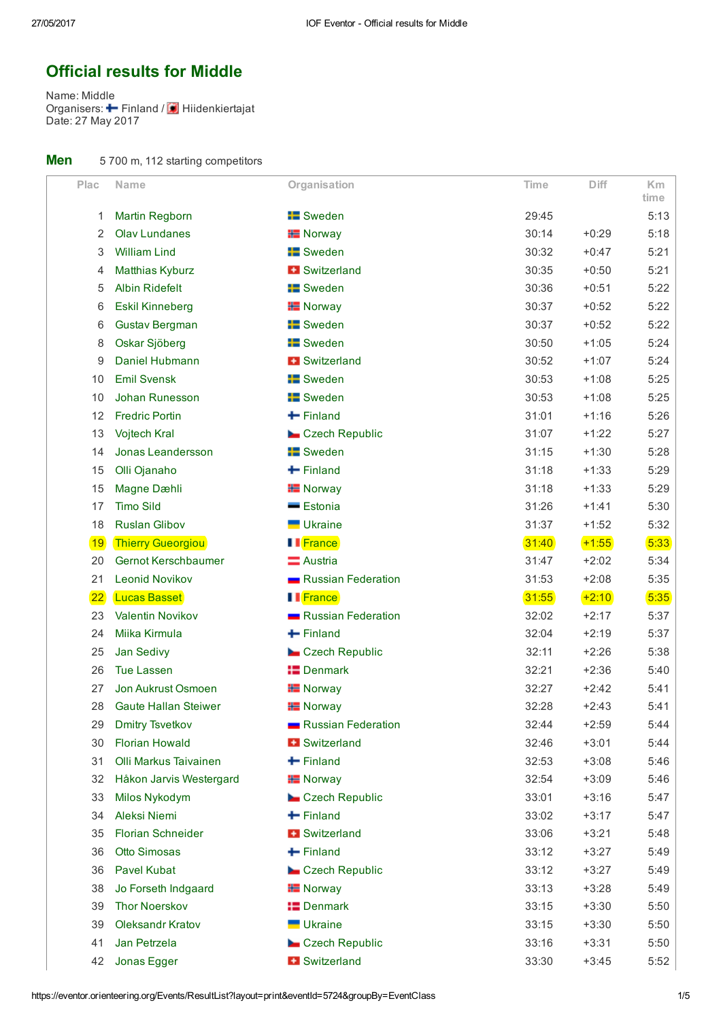# Official results for Middle

Name: Middle Organisers: - Finland / Date: 27 May 2017 Finland / Hiidenkiertajat

| Men |  | 5 700 m, 112 starting competitors |  |
|-----|--|-----------------------------------|--|
|-----|--|-----------------------------------|--|

| Plac      | Name                        | Organisation           | <b>Time</b> | <b>Diff</b> | Km           |
|-----------|-----------------------------|------------------------|-------------|-------------|--------------|
| 1         | <b>Martin Regborn</b>       | <b>E</b> Sweden        | 29:45       |             | time<br>5:13 |
| 2         | <b>Olav Lundanes</b>        | <b>H</b> Norway        | 30:14       | $+0:29$     | 5:18         |
| 3         | <b>William Lind</b>         | <b>E</b> Sweden        | 30:32       | $+0:47$     | 5:21         |
| 4         | <b>Matthias Kyburz</b>      | <b>B</b> Switzerland   | 30:35       | $+0:50$     | 5:21         |
| 5         | <b>Albin Ridefelt</b>       | <b>E</b> Sweden        | 30:36       | $+0:51$     | 5:22         |
| 6         | <b>Eskil Kinneberg</b>      | <b>H</b> Norway        | 30:37       | $+0:52$     | 5:22         |
| 6         | <b>Gustav Bergman</b>       | <b>E</b> Sweden        | 30:37       | $+0:52$     | 5:22         |
| 8         | Oskar Sjöberg               | <b>E</b> Sweden        | 30:50       | $+1:05$     | 5:24         |
| 9         | Daniel Hubmann              | <b>B</b> Switzerland   | 30:52       | $+1:07$     | 5:24         |
| 10        | <b>Emil Svensk</b>          | <b>E</b> Sweden        | 30:53       | $+1:08$     | 5:25         |
| 10        | Johan Runesson              | <b>E</b> Sweden        | 30:53       | $+1:08$     | 5:25         |
| 12        | <b>Fredric Portin</b>       | $\blacksquare$ Finland | 31:01       | $+1:16$     | 5:26         |
| 13        | <b>Vojtech Kral</b>         | Czech Republic         | 31:07       | $+1:22$     | 5:27         |
| 14        | Jonas Leandersson           | <b>E</b> Sweden        | 31:15       | $+1:30$     | 5:28         |
| 15        | Olli Ojanaho                | $\leftarrow$ Finland   | 31:18       | $+1:33$     | 5:29         |
| 15        | Magne Dæhli                 | <b>H</b> Norway        | 31:18       | $+1:33$     | 5:29         |
| 17        | <b>Timo Sild</b>            | <b>Estonia</b>         | 31:26       | $+1:41$     | 5:30         |
| 18        | <b>Ruslan Glibov</b>        | Ukraine                | 31:37       | $+1:52$     | 5:32         |
| <b>19</b> | <b>Thierry Gueorgiou</b>    | <b>I</b> France        | 31:40       | $+1:55$     | 5:33         |
| 20        | Gernot Kerschbaumer         | Austria                | 31:47       | $+2:02$     | 5:34         |
| 21        | <b>Leonid Novikov</b>       | Russian Federation     | 31:53       | $+2:08$     | 5:35         |
| 22        | <b>Lucas Basset</b>         | <b>II</b> France       | 31:55       | $+2:10$     | 5:35         |
| 23        | Valentin Novikov            | Russian Federation     | 32:02       | $+2:17$     | 5:37         |
| 24        | Miika Kirmula               | $+$ Finland            | 32:04       | $+2:19$     | 5:37         |
| 25        | Jan Sedivy                  | Czech Republic         | 32:11       | $+2:26$     | 5:38         |
| 26        | <b>Tue Lassen</b>           | <b>I</b> Denmark       | 32:21       | $+2:36$     | 5:40         |
| 27        | Jon Aukrust Osmoen          | <b>H</b> Norway        | 32:27       | $+2:42$     | 5:41         |
| 28        | <b>Gaute Hallan Steiwer</b> | <b>H</b> Norway        | 32:28       | $+2:43$     | 5:41         |
| 29        | <b>Dmitry Tsvetkov</b>      | Russian Federation     | 32:44       | $+2:59$     | 5:44         |
| 30        | <b>Florian Howald</b>       | <b>B</b> Switzerland   | 32:46       | $+3:01$     | 5:44         |
| 31        | Olli Markus Taivainen       | $\blacksquare$ Finland | 32:53       | $+3:08$     | 5:46         |
| 32        | Håkon Jarvis Westergard     | <b>H</b> Norway        | 32:54       | $+3:09$     | 5:46         |
| 33        | Milos Nykodym               | Czech Republic         | 33:01       | $+3:16$     | 5:47         |
| 34        | Aleksi Niemi                | $\blacksquare$ Finland | 33:02       | $+3:17$     | 5:47         |
| 35        | <b>Florian Schneider</b>    | <b>B</b> Switzerland   | 33:06       | $+3:21$     | 5:48         |
| 36        | <b>Otto Simosas</b>         | $\blacksquare$ Finland | 33:12       | $+3:27$     | 5:49         |
| 36        | <b>Pavel Kubat</b>          | Czech Republic         | 33:12       | $+3:27$     | 5:49         |
| 38        | Jo Forseth Indgaard         | <b>H</b> Norway        | 33:13       | $+3:28$     | 5:49         |
| 39        | <b>Thor Noerskov</b>        | <b>I</b> Denmark       | 33:15       | $+3:30$     | 5:50         |
| 39        | Oleksandr Kratov            | Ukraine                | 33:15       | $+3:30$     | 5:50         |
| 41        | Jan Petrzela                | Czech Republic         | 33:16       | $+3:31$     | 5:50         |
| 42        | Jonas Egger                 | + Switzerland          | 33:30       | $+3:45$     | 5:52         |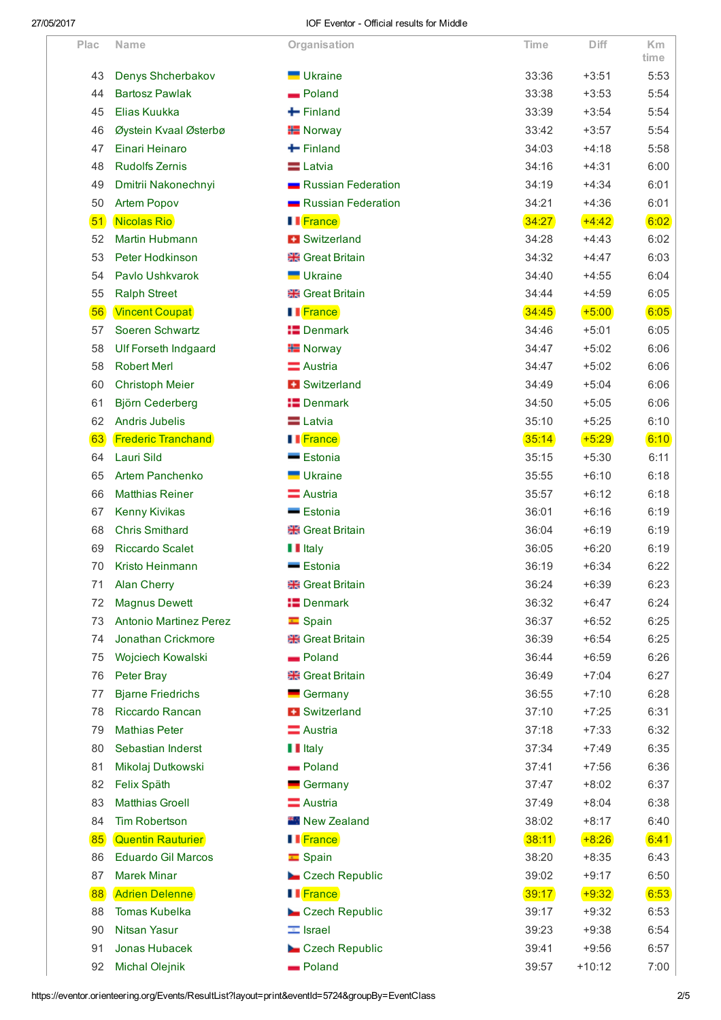|      |                               |                         |       |          | <b>Km</b> |
|------|-------------------------------|-------------------------|-------|----------|-----------|
| Plac | Name                          | Organisation            | Time  | Diff     | time      |
| 43   | Denys Shcherbakov             | Ukraine                 | 33:36 | $+3:51$  | 5:53      |
| 44   | <b>Bartosz Pawlak</b>         | Poland                  | 33:38 | $+3:53$  | 5:54      |
| 45   | Elias Kuukka                  | $+$ Finland             | 33:39 | $+3:54$  | 5:54      |
| 46   | Øystein Kvaal Østerbø         | $\pm$ Norway            | 33:42 | $+3:57$  | 5:54      |
| 47   | Einari Heinaro                | $\blacksquare$ Finland  | 34:03 | $+4:18$  | 5:58      |
| 48   | <b>Rudolfs Zernis</b>         | <b>E</b> Latvia         | 34:16 | $+4:31$  | 6:00      |
| 49   | Dmitrii Nakonechnyi           | Russian Federation      | 34:19 | $+4:34$  | 6:01      |
| 50   | <b>Artem Popov</b>            | Russian Federation      | 34:21 | $+4:36$  | 6:01      |
| 51   | Nicolas Rio                   | <b>I</b> France         | 34:27 | $+4:42$  | 6:02      |
| 52   | Martin Hubmann                | <b>B</b> Switzerland    | 34:28 | $+4:43$  | 6:02      |
| 53   | Peter Hodkinson               | <b>Reat Britain</b>     | 34:32 | $+4:47$  | 6:03      |
| 54   | Pavlo Ushkvarok               | <b>Ukraine</b>          | 34:40 | $+4:55$  | 6:04      |
| 55   | <b>Ralph Street</b>           | <b>Reat Britain</b>     | 34:44 | $+4:59$  | 6:05      |
| 56   | <b>Vincent Coupat</b>         | <b>I</b> France         | 34:45 | $+5:00$  | 6:05      |
| 57   | Soeren Schwartz               | <b>E</b> Denmark        | 34:46 | $+5:01$  | 6:05      |
| 58   | <b>Ulf Forseth Indgaard</b>   | <b>H</b> Norway         | 34:47 | $+5:02$  | 6:06      |
| 58   | <b>Robert Merl</b>            | Austria                 | 34:47 | $+5:02$  | 6:06      |
| 60   | <b>Christoph Meier</b>        | <b>H</b> Switzerland    | 34:49 | $+5:04$  | 6:06      |
| 61   | Björn Cederberg               | <b>I</b> Denmark        | 34:50 | $+5:05$  | 6:06      |
| 62   | <b>Andris Jubelis</b>         | Latvia                  | 35:10 | $+5:25$  | 6:10      |
| 63   | <b>Frederic Tranchand</b>     | <b>I</b> France         | 35:14 | $+5:29$  | 6:10      |
| 64   | Lauri Sild                    | Estonia                 | 35:15 | $+5:30$  | 6:11      |
| 65   | <b>Artem Panchenko</b>        | <b>Ukraine</b>          | 35:55 | $+6:10$  | 6:18      |
| 66   | <b>Matthias Reiner</b>        | <b>E</b> Austria        | 35:57 | $+6:12$  | 6:18      |
| 67   | <b>Kenny Kivikas</b>          | Estonia                 | 36:01 | $+6:16$  | 6:19      |
| 68   | <b>Chris Smithard</b>         | <b>Reat Britain</b>     | 36:04 | $+6:19$  | 6:19      |
| 69   | <b>Riccardo Scalet</b>        | <b>I</b> Italy          | 36:05 | $+6:20$  | 6:19      |
| 70   | Kristo Heinmann               | Estonia                 | 36:19 | $+6:34$  | 6:22      |
| 71   | <b>Alan Cherry</b>            | <b>**</b> Great Britain | 36:24 | $+6:39$  | 6:23      |
| 72   | <b>Magnus Dewett</b>          | <b>I</b> Denmark        | 36:32 | $+6:47$  | 6:24      |
| 73   | <b>Antonio Martinez Perez</b> | $\equiv$ Spain          | 36:37 | $+6:52$  | 6:25      |
| 74   | Jonathan Crickmore            | <b>Start Britain</b>    | 36:39 | $+6:54$  | 6:25      |
| 75   | Wojciech Kowalski             | <b>Poland</b>           | 36:44 | $+6:59$  | 6:26      |
| 76   | Peter Bray                    | <b>**</b> Great Britain | 36:49 | $+7:04$  | 6:27      |
| 77   | <b>Bjarne Friedrichs</b>      | Germany                 | 36:55 | $+7:10$  | 6:28      |
| 78   | Riccardo Rancan               | <b>+ Switzerland</b>    | 37:10 | $+7:25$  | 6:31      |
| 79   | <b>Mathias Peter</b>          | <b>E</b> Austria        | 37:18 | $+7:33$  | 6:32      |
| 80   | Sebastian Inderst             | <b>I</b> Italy          | 37:34 | $+7:49$  | 6:35      |
| 81   | Mikolaj Dutkowski             | <b>Poland</b>           | 37:41 | $+7:56$  | 6:36      |
| 82   | Felix Späth                   | Germany                 | 37:47 | $+8:02$  | 6:37      |
| 83   | <b>Matthias Groell</b>        | Austria                 | 37:49 | $+8:04$  | 6:38      |
| 84   | <b>Tim Robertson</b>          | <b>New Zealand</b>      | 38:02 | $+8:17$  | 6:40      |
| 85   | <b>Quentin Rauturier</b>      | <b>I</b> France         | 38:11 | $+8:26$  | 6:41      |
| 86   | <b>Eduardo Gil Marcos</b>     | $\equiv$ Spain          | 38:20 | $+8:35$  | 6:43      |
| 87   | <b>Marek Minar</b>            | Czech Republic          | 39:02 | $+9:17$  | 6:50      |
| 88   | <b>Adrien Delenne</b>         | <b>I</b> France         | 39:17 | $+9:32$  | 6:53      |
| 88   | <b>Tomas Kubelka</b>          | Czech Republic          | 39:17 | $+9:32$  | 6:53      |
| 90   | <b>Nitsan Yasur</b>           | $\equiv$ Israel         | 39:23 | $+9:38$  | 6:54      |
| 91   | Jonas Hubacek                 | Czech Republic          | 39:41 | $+9:56$  | 6:57      |
| 92   | <b>Michal Olejnik</b>         | Poland                  | 39:57 | $+10:12$ | 7:00      |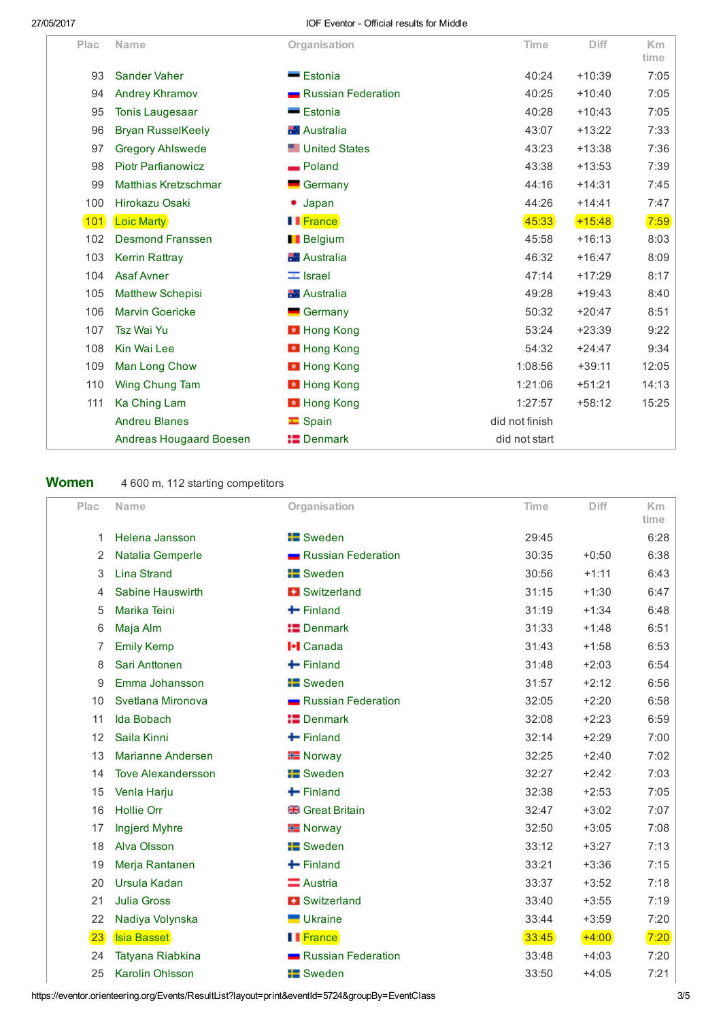| Plac | Name                        | Organisation         | Time           | <b>Diff</b> | Km<br>time |
|------|-----------------------------|----------------------|----------------|-------------|------------|
| 93   | <b>Sander Vaher</b>         | $=$ Estonia          | 40:24          | $+10:39$    | 7:05       |
| 94   | <b>Andrey Khramov</b>       | Russian Federation   | 40:25          | $+10:40$    | 7:05       |
| 95   | <b>Tonis Laugesaar</b>      | Estonia              | 40:28          | $+10:43$    | 7:05       |
| 96   | <b>Bryan RusselKeely</b>    | <b>Australia</b>     | 43:07          | $+13:22$    | 7:33       |
| 97   | <b>Gregory Ahlswede</b>     | <b>United States</b> | 43:23          | $+13:38$    | 7:36       |
| 98   | <b>Piotr Parfianowicz</b>   | <b>Poland</b>        | 43:38          | $+13:53$    | 7:39       |
| 99   | <b>Matthias Kretzschmar</b> | Germany              | 44:16          | $+14:31$    | 7:45       |
| 100  | Hirokazu Osaki              | Japan                | 44:26          | $+14:41$    | 7:47       |
| 101  | <b>Loic Marty</b>           | <b>II</b> France     | 45:33          | $+15:48$    | 7:59       |
| 102  | <b>Desmond Franssen</b>     | <b>Belgium</b>       | 45:58          | $+16:13$    | 8:03       |
| 103  | <b>Kerrin Rattray</b>       | <b>Australia</b>     | 46:32          | $+16:47$    | 8:09       |
| 104  | <b>Asaf Avner</b>           | $\equiv$ Israel      | 47:14          | $+17:29$    | 8:17       |
| 105  | <b>Matthew Schepisi</b>     | <b>Australia</b>     | 49:28          | $+19:43$    | 8:40       |
| 106  | <b>Marvin Goericke</b>      | Germany              | 50:32          | $+20:47$    | 8:51       |
| 107  | Tsz Wai Yu                  | <b>E</b> Hong Kong   | 53:24          | $+23:39$    | 9:22       |
| 108  | Kin Wai Lee                 | <b>E</b> Hong Kong   | 54:32          | $+24:47$    | 9:34       |
| 109  | Man Long Chow               | <b>E</b> Hong Kong   | 1:08:56        | $+39:11$    | 12:05      |
| 110  | Wing Chung Tam              | <b>E</b> Hong Kong   | 1:21:06        | $+51:21$    | 14:13      |
| 111  | Ka Ching Lam                | <b>E</b> Hong Kong   | 1:27:57        | $+58:12$    | 15:25      |
|      | <b>Andreu Blanes</b>        | $\blacksquare$ Spain | did not finish |             |            |
|      | Andreas Hougaard Boesen     | $\equiv$ Denmark     | did not start  |             |            |

Women 4 600 m, 112 starting competitors

| Plac | Name                      | Organisation              | Time  | Diff    | <b>Km</b><br>time |
|------|---------------------------|---------------------------|-------|---------|-------------------|
| 1    | Helena Jansson            | <b>Example 15</b> Sweden  | 29:45 |         | 6:28              |
| 2    | Natalia Gemperle          | Russian Federation        | 30:35 | $+0:50$ | 6:38              |
| 3    | <b>Lina Strand</b>        | <b>E</b> Sweden           | 30:56 | $+1:11$ | 6:43              |
| 4    | Sabine Hauswirth          | <b>B</b> Switzerland      | 31:15 | $+1:30$ | 6:47              |
| 5    | Marika Teini              | $+$ Finland               | 31:19 | $+1:34$ | 6:48              |
| 6    | Maja Alm                  | $\equiv$ Denmark          | 31:33 | $+1:48$ | 6:51              |
| 7    | <b>Emily Kemp</b>         | <b>I-I</b> Canada         | 31:43 | $+1:58$ | 6:53              |
| 8    | Sari Anttonen             | $\leftarrow$ Finland      | 31:48 | $+2:03$ | 6:54              |
| 9    | Emma Johansson            | <b>Exercise</b> Sweden    | 31:57 | $+2:12$ | 6:56              |
| 10   | Svetlana Mironova         | Russian Federation        | 32:05 | $+2:20$ | 6:58              |
| 11   | Ida Bobach                | $\blacksquare$ Denmark    | 32:08 | $+2:23$ | 6:59              |
| 12   | Saila Kinni               | $\bigleftarrow$ Finland   | 32:14 | $+2:29$ | 7:00              |
| 13   | <b>Marianne Andersen</b>  | <b>H</b> Norway           | 32:25 | $+2:40$ | 7:02              |
| 14   | <b>Tove Alexandersson</b> | <b>E</b> Sweden           | 32:27 | $+2:42$ | 7:03              |
| 15   | Venla Harju               | $+$ Finland               | 32:38 | $+2:53$ | 7:05              |
| 16   | <b>Hollie Orr</b>         | <b>Re</b> Great Britain   | 32:47 | $+3:02$ | 7:07              |
| 17   | <b>Ingjerd Myhre</b>      | <b>H</b> Norway           | 32:50 | $+3:05$ | 7:08              |
| 18   | <b>Alva Olsson</b>        | <b>E</b> Sweden           | 33:12 | $+3:27$ | 7:13              |
| 19   | Merja Rantanen            | $\blacksquare$ Finland    | 33:21 | $+3:36$ | 7:15              |
| 20   | Ursula Kadan              | $\equiv$ Austria          | 33:37 | $+3:52$ | 7:18              |
| 21   | <b>Julia Gross</b>        | <b>B</b> Switzerland      | 33:40 | $+3:55$ | 7:19              |
| 22   | Nadiya Volynska           | <b>Ukraine</b>            | 33:44 | $+3:59$ | 7:20              |
| 23   | Isia Basset               | <b>I</b> France           | 33:45 | $+4:00$ | 7:20              |
| 24   | Tatyana Riabkina          | <b>Russian Federation</b> | 33:48 | $+4:03$ | 7:20              |
| 25   | Karolin Ohlsson           | <b>E</b> Sweden           | 33:50 | $+4:05$ | 7:21              |

https://eventor.orienteering.org/Events/ResultList?layout=print&eventId=5724&groupBy=EventClass 3/5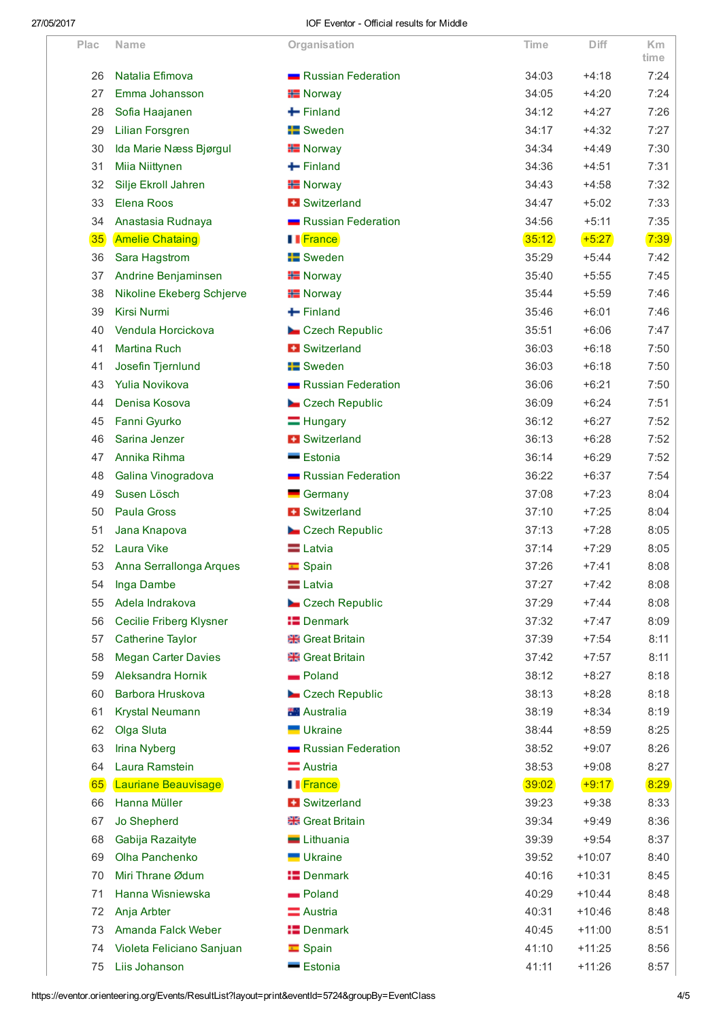| Plac            | Name                           | Organisation             | <b>Time</b> | Diff     | <b>Km</b><br>time |
|-----------------|--------------------------------|--------------------------|-------------|----------|-------------------|
| 26              | Natalia Efimova                | Russian Federation       | 34:03       | $+4:18$  | 7:24              |
| 27              | Emma Johansson                 | <b>H</b> Norway          | 34:05       | $+4:20$  | 7:24              |
| 28              | Sofia Haajanen                 | $\leftarrow$ Finland     | 34:12       | $+4:27$  | 7:26              |
| 29              | <b>Lilian Forsgren</b>         | <b>Example 15</b> Sweden | 34:17       | $+4:32$  | 7:27              |
| 30              | Ida Marie Næss Bjørgul         | <b>H</b> Norway          | 34:34       | $+4:49$  | 7:30              |
| 31              | Miia Niittynen                 | $\pm$ Finland            | 34:36       | $+4:51$  | 7:31              |
| 32              | Silje Ekroll Jahren            | <b>H</b> Norway          | 34:43       | $+4:58$  | 7:32              |
| 33              | Elena Roos                     | <b>E</b> Switzerland     | 34:47       | $+5:02$  | 7:33              |
| 34              | Anastasia Rudnaya              | Russian Federation       | 34:56       | $+5:11$  | 7:35              |
| 35 <sub>o</sub> | <b>Amelie Chataing</b>         | <b>II</b> France         | 35:12       | $+5:27$  | 7:39              |
| 36              | Sara Hagstrom                  | <b>Exercise</b> Sweden   | 35:29       | $+5:44$  | 7:42              |
| 37              | Andrine Benjaminsen            | <b>H</b> Norway          | 35:40       | $+5:55$  | 7:45              |
| 38              | Nikoline Ekeberg Schjerve      | <b>H</b> Norway          | 35:44       | $+5:59$  | 7:46              |
| 39              | Kirsi Nurmi                    | $\blacksquare$ Finland   | 35:46       | $+6:01$  | 7:46              |
| 40              | Vendula Horcickova             | Czech Republic           | 35:51       | $+6:06$  | 7:47              |
| 41              | <b>Martina Ruch</b>            | <b>E</b> Switzerland     | 36:03       | $+6:18$  | 7:50              |
| 41              | Josefin Tjernlund              | <b>Exercise</b> Sweden   | 36:03       | $+6:18$  | 7:50              |
| 43              | <b>Yulia Novikova</b>          | Russian Federation       | 36:06       | $+6:21$  | 7:50              |
| 44              | Denisa Kosova                  | Czech Republic           | 36:09       | $+6:24$  | 7:51              |
| 45              | Fanni Gyurko                   | $\equiv$ Hungary         | 36:12       | $+6:27$  | 7:52              |
| 46              | Sarina Jenzer                  | <b>H</b> Switzerland     | 36:13       | $+6:28$  | 7:52              |
| 47              | Annika Rihma                   | <b>Estonia</b>           | 36:14       | $+6:29$  | 7:52              |
| 48              | Galina Vinogradova             | Russian Federation       | 36:22       | $+6:37$  | 7:54              |
| 49              | Susen Lösch                    | Germany                  | 37:08       | $+7:23$  | 8:04              |
| 50              | <b>Paula Gross</b>             | <b>H</b> Switzerland     | 37:10       | $+7:25$  | 8:04              |
| 51              | Jana Knapova                   | Czech Republic           | 37:13       | $+7:28$  | 8:05              |
| 52              | Laura Vike                     | $\blacksquare$ Latvia    | 37:14       | $+7:29$  | 8:05              |
| 53              | Anna Serrallonga Arques        | $\blacksquare$ Spain     | 37:26       | $+7:41$  | 8:08              |
| 54              | Inga Dambe                     | $\equiv$ Latvia          | 37:27       | $+7:42$  | 8:08              |
| 55              | Adela Indrakova                | Czech Republic           | 37:29       | $+7:44$  | 8:08              |
| 56              | <b>Cecilie Friberg Klysner</b> | <b>E</b> Denmark         | 37:32       | $+7:47$  | 8:09              |
| 57              | <b>Catherine Taylor</b>        | <b>Ref</b> Great Britain | 37:39       | $+7:54$  | 8:11              |
| 58              | <b>Megan Carter Davies</b>     | <b>Reat Britain</b>      | 37:42       | $+7:57$  | 8:11              |
| 59              | Aleksandra Hornik              | Poland                   | 38:12       | $+8:27$  | 8:18              |
| 60              | Barbora Hruskova               | Czech Republic           | 38:13       | $+8:28$  | 8:18              |
| 61              | Krystal Neumann                | <b>Australia</b>         | 38:19       | $+8:34$  | 8:19              |
| 62              | Olga Sluta                     | <b>Ukraine</b>           | 38:44       | $+8:59$  | 8:25              |
| 63              | <b>Irina Nyberg</b>            | Russian Federation       | 38:52       | $+9:07$  | 8:26              |
| 64              | Laura Ramstein                 | Austria                  | 38:53       | $+9:08$  | 8:27              |
| 65              | Lauriane Beauvisage            | <b>I</b> France          | 39:02       | $+9:17$  | 8:29              |
| 66              | Hanna Müller                   | <b>B</b> Switzerland     | 39:23       | $+9:38$  | 8:33              |
| 67              | Jo Shepherd                    | <b>Resear Britain</b>    | 39:34       | $+9:49$  | 8:36              |
| 68              | Gabija Razaityte               | Lithuania                | 39:39       | $+9:54$  | 8:37              |
| 69              | Olha Panchenko                 | <b>Ukraine</b>           | 39:52       | $+10:07$ | 8:40              |
| 70              | Miri Thrane Ødum               | <b>E</b> Denmark         | 40:16       | $+10:31$ | 8:45              |
| 71              | Hanna Wisniewska               | - Poland                 | 40:29       | $+10:44$ | 8:48              |
| 72              | Anja Arbter                    | Austria                  | 40:31       | $+10:46$ | 8:48              |
| 73              | Amanda Falck Weber             | <b>E</b> Denmark         | 40:45       | $+11:00$ | 8:51              |
| 74              | Violeta Feliciano Sanjuan      | $\equiv$ Spain           | 41:10       | $+11:25$ | 8:56              |
| 75              | Liis Johanson                  | Estonia                  | 41:11       | $+11:26$ | 8:57              |